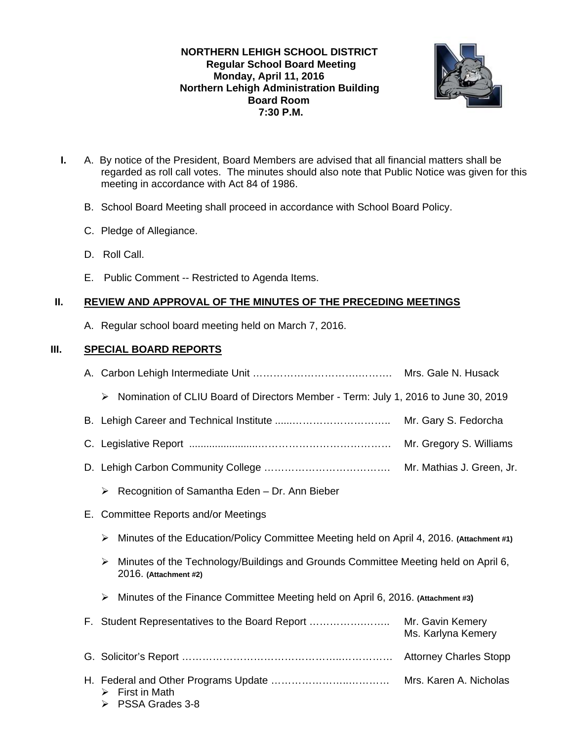## **NORTHERN LEHIGH SCHOOL DISTRICT Regular School Board Meeting Monday, April 11, 2016 Northern Lehigh Administration Building Board Room 7:30 P.M.**



- **I.** A. By notice of the President, Board Members are advised that all financial matters shall be regarded as roll call votes. The minutes should also note that Public Notice was given for this meeting in accordance with Act 84 of 1986.
	- B. School Board Meeting shall proceed in accordance with School Board Policy.
	- C. Pledge of Allegiance.
	- D. Roll Call.
	- E. Public Comment -- Restricted to Agenda Items.

# **II. REVIEW AND APPROVAL OF THE MINUTES OF THE PRECEDING MEETINGS**

A. Regular school board meeting held on March 7, 2016.

# **III. SPECIAL BOARD REPORTS**

|    | Nomination of CLIU Board of Directors Member - Term: July 1, 2016 to June 30, 2019<br>➤                          |                                        |
|----|------------------------------------------------------------------------------------------------------------------|----------------------------------------|
|    |                                                                                                                  | Mr. Gary S. Fedorcha                   |
|    |                                                                                                                  | Mr. Gregory S. Williams                |
|    |                                                                                                                  | Mr. Mathias J. Green, Jr.              |
|    | Recognition of Samantha Eden - Dr. Ann Bieber<br>≻                                                               |                                        |
| Е. | <b>Committee Reports and/or Meetings</b>                                                                         |                                        |
|    | Minutes of the Education/Policy Committee Meeting held on April 4, 2016. (Attachment #1)<br>➤                    |                                        |
|    | Minutes of the Technology/Buildings and Grounds Committee Meeting held on April 6,<br>➤<br>2016. (Attachment #2) |                                        |
|    | Minutes of the Finance Committee Meeting held on April 6, 2016. (Attachment #3)<br>➤                             |                                        |
|    | F. Student Representatives to the Board Report                                                                   | Mr. Gavin Kemery<br>Ms. Karlyna Kemery |
|    |                                                                                                                  |                                        |
|    | <b>First in Math</b><br>➤<br>PSSA Grades 3-8<br>➤                                                                |                                        |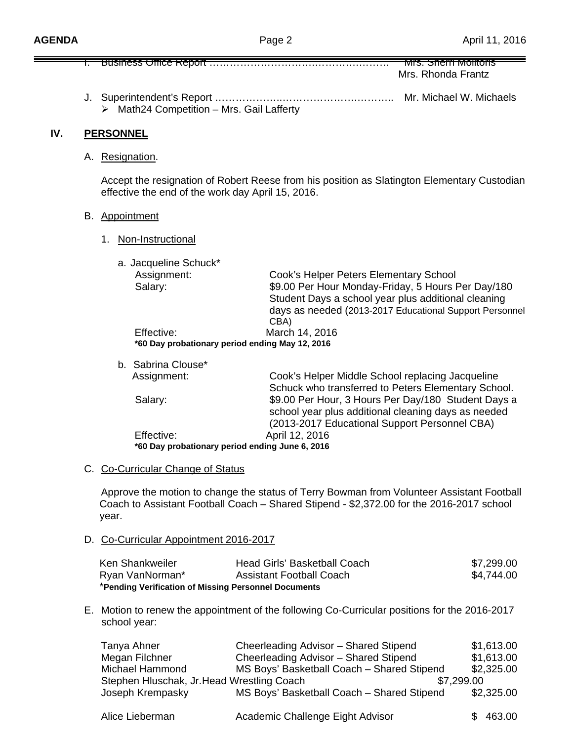|                                                                                                                                                  |                                                                                                                                                                                                                                                                               | Business Office Report                                                                                                    | Mrs. Sherri Molitoris                                                                                                                                                                                          |                                                      |
|--------------------------------------------------------------------------------------------------------------------------------------------------|-------------------------------------------------------------------------------------------------------------------------------------------------------------------------------------------------------------------------------------------------------------------------------|---------------------------------------------------------------------------------------------------------------------------|----------------------------------------------------------------------------------------------------------------------------------------------------------------------------------------------------------------|------------------------------------------------------|
|                                                                                                                                                  |                                                                                                                                                                                                                                                                               |                                                                                                                           | Mrs. Rhonda Frantz                                                                                                                                                                                             |                                                      |
|                                                                                                                                                  |                                                                                                                                                                                                                                                                               | > Math24 Competition - Mrs. Gail Lafferty                                                                                 | Mr. Michael W. Michaels                                                                                                                                                                                        |                                                      |
| IV.                                                                                                                                              |                                                                                                                                                                                                                                                                               | <b>PERSONNEL</b>                                                                                                          |                                                                                                                                                                                                                |                                                      |
|                                                                                                                                                  |                                                                                                                                                                                                                                                                               | A. Resignation.                                                                                                           |                                                                                                                                                                                                                |                                                      |
| Accept the resignation of Robert Reese from his position as Slatington Elementary Custodian<br>effective the end of the work day April 15, 2016. |                                                                                                                                                                                                                                                                               |                                                                                                                           |                                                                                                                                                                                                                |                                                      |
|                                                                                                                                                  | B. Appointment                                                                                                                                                                                                                                                                |                                                                                                                           |                                                                                                                                                                                                                |                                                      |
|                                                                                                                                                  | Non-Instructional<br>1.                                                                                                                                                                                                                                                       |                                                                                                                           |                                                                                                                                                                                                                |                                                      |
|                                                                                                                                                  |                                                                                                                                                                                                                                                                               | a. Jacqueline Schuck*                                                                                                     |                                                                                                                                                                                                                |                                                      |
|                                                                                                                                                  |                                                                                                                                                                                                                                                                               | Assignment:<br>Salary:                                                                                                    | Cook's Helper Peters Elementary School<br>\$9.00 Per Hour Monday-Friday, 5 Hours Per Day/180<br>Student Days a school year plus additional cleaning<br>days as needed (2013-2017 Educational Support Personnel |                                                      |
|                                                                                                                                                  | CBA)<br>Effective:<br>March 14, 2016<br>*60 Day probationary period ending May 12, 2016                                                                                                                                                                                       |                                                                                                                           |                                                                                                                                                                                                                |                                                      |
|                                                                                                                                                  |                                                                                                                                                                                                                                                                               | b. Sabrina Clouse*                                                                                                        |                                                                                                                                                                                                                |                                                      |
|                                                                                                                                                  |                                                                                                                                                                                                                                                                               | Assignment:                                                                                                               | Cook's Helper Middle School replacing Jacqueline<br>Schuck who transferred to Peters Elementary School.                                                                                                        |                                                      |
|                                                                                                                                                  |                                                                                                                                                                                                                                                                               | Salary:                                                                                                                   | \$9.00 Per Hour, 3 Hours Per Day/180 Student Days a<br>school year plus additional cleaning days as needed<br>(2013-2017 Educational Support Personnel CBA)                                                    |                                                      |
|                                                                                                                                                  |                                                                                                                                                                                                                                                                               | Effective:                                                                                                                | April 12, 2016                                                                                                                                                                                                 |                                                      |
| *60 Day probationary period ending June 6, 2016                                                                                                  |                                                                                                                                                                                                                                                                               |                                                                                                                           |                                                                                                                                                                                                                |                                                      |
|                                                                                                                                                  | C. Co-Curricular Change of Status<br>Approve the motion to change the status of Terry Bowman from Volunteer Assistant Football<br>Coach to Assistant Football Coach - Shared Stipend - \$2,372.00 for the 2016-2017 school<br>year.<br>D. Co-Curricular Appointment 2016-2017 |                                                                                                                           |                                                                                                                                                                                                                |                                                      |
|                                                                                                                                                  |                                                                                                                                                                                                                                                                               |                                                                                                                           |                                                                                                                                                                                                                |                                                      |
|                                                                                                                                                  |                                                                                                                                                                                                                                                                               |                                                                                                                           |                                                                                                                                                                                                                |                                                      |
|                                                                                                                                                  |                                                                                                                                                                                                                                                                               | Ken Shankweiler<br>Ryan VanNorman*<br>*Pending Verification of Missing Personnel Documents                                | Head Girls' Basketball Coach<br><b>Assistant Football Coach</b>                                                                                                                                                | \$7,299.00<br>\$4,744.00                             |
|                                                                                                                                                  | E. Motion to renew the appointment of the following Co-Curricular positions for the 2016-2017<br>school year:                                                                                                                                                                 |                                                                                                                           |                                                                                                                                                                                                                |                                                      |
|                                                                                                                                                  |                                                                                                                                                                                                                                                                               | Tanya Ahner<br>Megan Filchner<br><b>Michael Hammond</b><br>Stephen Hluschak, Jr. Head Wrestling Coach<br>Joseph Krempasky | Cheerleading Advisor - Shared Stipend<br>Cheerleading Advisor - Shared Stipend<br>MS Boys' Basketball Coach - Shared Stipend<br>\$7,299.00<br>MS Boys' Basketball Coach - Shared Stipend                       | \$1,613.00<br>\$1,613.00<br>\$2,325.00<br>\$2,325.00 |

| Alice Lieberman | Academic Challenge Eight Advisor | \$463.00 |
|-----------------|----------------------------------|----------|
|-----------------|----------------------------------|----------|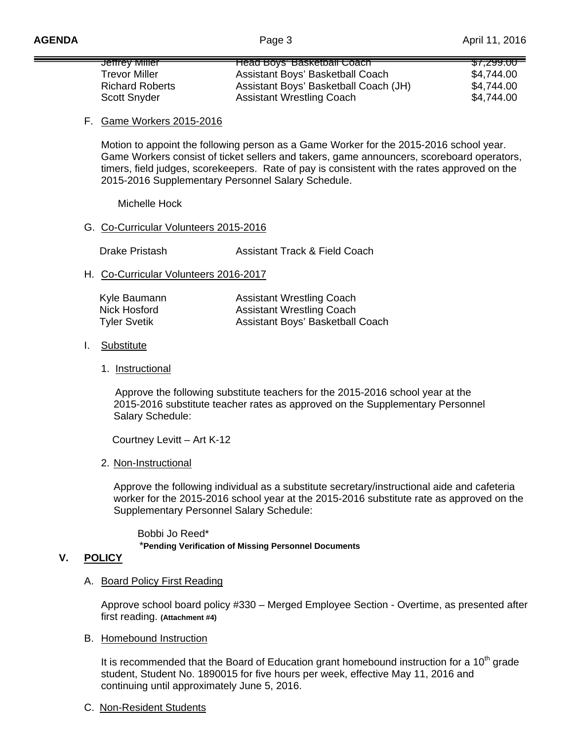| <del>Jemey Miller</del> | <del>Head Boys' Baskelball Coach -</del> | <del>\$7,299.00 -</del> |
|-------------------------|------------------------------------------|-------------------------|
| Trevor Miller           | Assistant Boys' Basketball Coach         | \$4,744.00              |
| <b>Richard Roberts</b>  | Assistant Boys' Basketball Coach (JH)    | \$4,744.00              |
| <b>Scott Snyder</b>     | <b>Assistant Wrestling Coach</b>         | \$4,744.00              |

#### F. Game Workers 2015-2016

Motion to appoint the following person as a Game Worker for the 2015-2016 school year. Game Workers consist of ticket sellers and takers, game announcers, scoreboard operators, timers, field judges, scorekeepers. Rate of pay is consistent with the rates approved on the 2015-2016 Supplementary Personnel Salary Schedule.

Michelle Hock

### G. Co-Curricular Volunteers 2015-2016

Drake Pristash **Assistant Track & Field Coach** 

### H. Co-Curricular Volunteers 2016-2017

| Kyle Baumann        | <b>Assistant Wrestling Coach</b> |
|---------------------|----------------------------------|
| Nick Hosford        | <b>Assistant Wrestling Coach</b> |
| <b>Tyler Svetik</b> | Assistant Boys' Basketball Coach |

#### I. Substitute

#### 1. Instructional

 Approve the following substitute teachers for the 2015-2016 school year at the 2015-2016 substitute teacher rates as approved on the Supplementary Personnel Salary Schedule:

Courtney Levitt – Art K-12

#### 2. Non-Instructional

Approve the following individual as a substitute secretary/instructional aide and cafeteria worker for the 2015-2016 school year at the 2015-2016 substitute rate as approved on the Supplementary Personnel Salary Schedule:

 Bobbi Jo Reed\* \***Pending Verification of Missing Personnel Documents**

## **V. POLICY**

#### A. Board Policy First Reading

Approve school board policy #330 – Merged Employee Section - Overtime, as presented after first reading. **(Attachment #4)** 

#### B. Homebound Instruction

It is recommended that the Board of Education grant homebound instruction for a  $10<sup>th</sup>$  grade student, Student No. 1890015 for five hours per week, effective May 11, 2016 and continuing until approximately June 5, 2016.

#### C. Non-Resident Students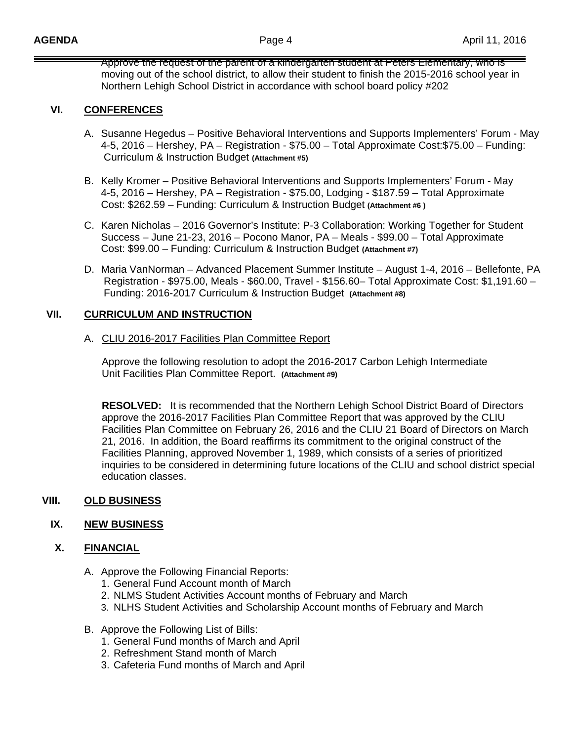Approve the request of the parent of a kindergarten student at Peters Elementary, who is moving out of the school district, to allow their student to finish the 2015-2016 school year in Northern Lehigh School District in accordance with school board policy #202

## **VI. CONFERENCES**

- A. Susanne Hegedus Positive Behavioral Interventions and Supports Implementers' Forum May 4-5, 2016 – Hershey, PA – Registration - \$75.00 – Total Approximate Cost:\$75.00 – Funding: Curriculum & Instruction Budget **(Attachment #5)**
- B. Kelly Kromer Positive Behavioral Interventions and Supports Implementers' Forum May 4-5, 2016 – Hershey, PA – Registration - \$75.00, Lodging - \$187.59 – Total Approximate Cost: \$262.59 – Funding: Curriculum & Instruction Budget **(Attachment #6 )**
- C. Karen Nicholas 2016 Governor's Institute: P-3 Collaboration: Working Together for Student Success – June 21-23, 2016 – Pocono Manor, PA – Meals - \$99.00 – Total Approximate Cost: \$99.00 – Funding: Curriculum & Instruction Budget **(Attachment #7)**
- D. Maria VanNorman Advanced Placement Summer Institute August 1-4, 2016 Bellefonte, PA Registration - \$975.00, Meals - \$60.00, Travel - \$156.60– Total Approximate Cost: \$1,191.60 – Funding: 2016-2017 Curriculum & Instruction Budget **(Attachment #8)**

## **VII. CURRICULUM AND INSTRUCTION**

### A. CLIU 2016-2017 Facilities Plan Committee Report

Approve the following resolution to adopt the 2016-2017 Carbon Lehigh Intermediate Unit Facilities Plan Committee Report. **(Attachment #9)** 

**RESOLVED:** It is recommended that the Northern Lehigh School District Board of Directors approve the 2016-2017 Facilities Plan Committee Report that was approved by the CLIU Facilities Plan Committee on February 26, 2016 and the CLIU 21 Board of Directors on March 21, 2016. In addition, the Board reaffirms its commitment to the original construct of the Facilities Planning, approved November 1, 1989, which consists of a series of prioritized inquiries to be considered in determining future locations of the CLIU and school district special education classes.

## **VIII. OLD BUSINESS**

## **IX. NEW BUSINESS**

## **X. FINANCIAL**

- A. Approve the Following Financial Reports:
	- 1. General Fund Account month of March
	- 2. NLMS Student Activities Account months of February and March
	- 3. NLHS Student Activities and Scholarship Account months of February and March
- B. Approve the Following List of Bills:
	- 1. General Fund months of March and April
	- 2. Refreshment Stand month of March
	- 3. Cafeteria Fund months of March and April